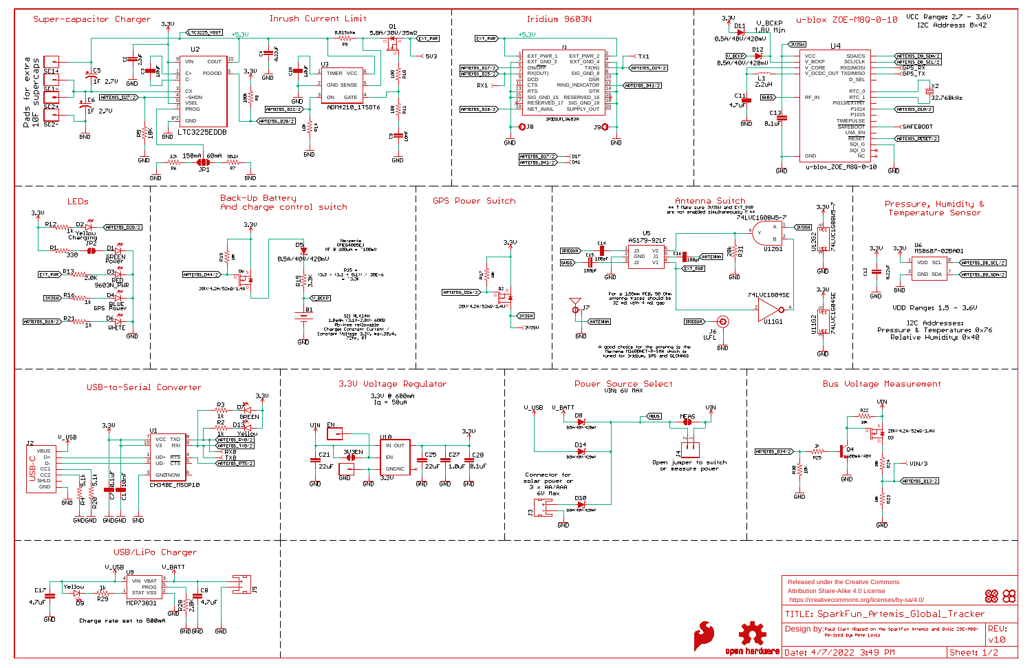